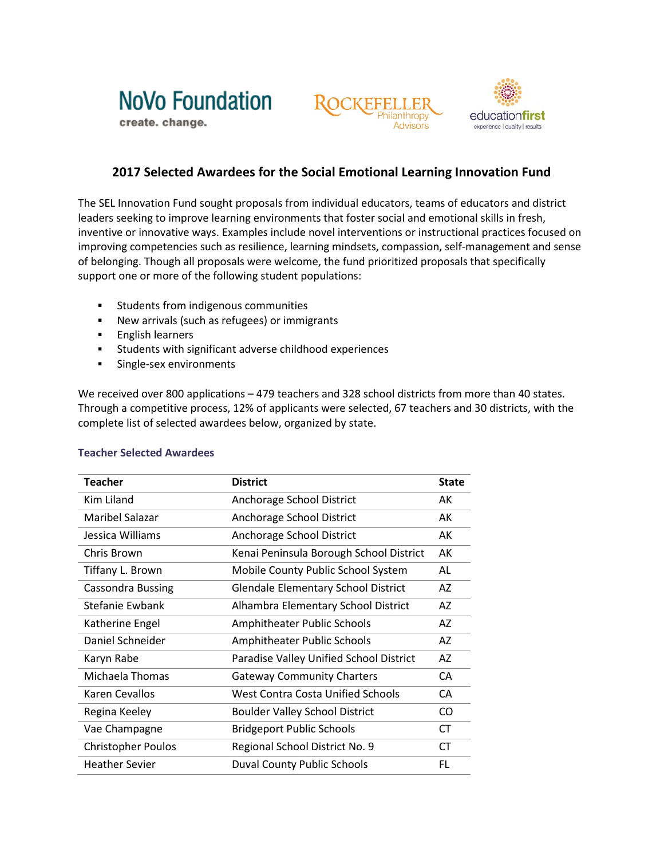





## **2017 Selected Awardees for the Social Emotional Learning Innovation Fund**

The SEL Innovation Fund sought proposals from individual educators, teams of educators and district leaders seeking to improve learning environments that foster social and emotional skills in fresh, inventive or innovative ways. Examples include novel interventions or instructional practices focused on improving competencies such as resilience, learning mindsets, compassion, self-management and sense of belonging. Though all proposals were welcome, the fund prioritized proposals that specifically support one or more of the following student populations:

- **Students from indigenous communities**
- New arrivals (such as refugees) or immigrants
- **English learners**
- **Students with significant adverse childhood experiences**
- **Single-sex environments**

We received over 800 applications – 479 teachers and 328 school districts from more than 40 states. Through a competitive process, 12% of applicants were selected, 67 teachers and 30 districts, with the complete list of selected awardees below, organized by state.

| <b>Teacher</b>            | <b>District</b>                            | <b>State</b> |
|---------------------------|--------------------------------------------|--------------|
| Kim Liland                | Anchorage School District                  | AK           |
| Maribel Salazar           | Anchorage School District                  | AK           |
| Jessica Williams          | Anchorage School District                  | AK           |
| Chris Brown               | Kenai Peninsula Borough School District    | AK           |
| Tiffany L. Brown          | Mobile County Public School System         | AL           |
| <b>Cassondra Bussing</b>  | <b>Glendale Elementary School District</b> | AZ           |
| Stefanie Ewbank           | Alhambra Elementary School District        |              |
| Katherine Engel           | Amphitheater Public Schools                |              |
| Daniel Schneider          | Amphitheater Public Schools                |              |
| Karyn Rabe                | Paradise Valley Unified School District    |              |
| Michaela Thomas           | <b>Gateway Community Charters</b>          |              |
| Karen Cevallos            | <b>West Contra Costa Unified Schools</b>   |              |
| Regina Keeley             | <b>Boulder Valley School District</b>      | CO           |
| Vae Champagne             | <b>Bridgeport Public Schools</b>           | CT           |
| <b>Christopher Poulos</b> | Regional School District No. 9             | <b>CT</b>    |
| <b>Heather Sevier</b>     | <b>Duval County Public Schools</b>         | FL           |

## **Teacher Selected Awardees**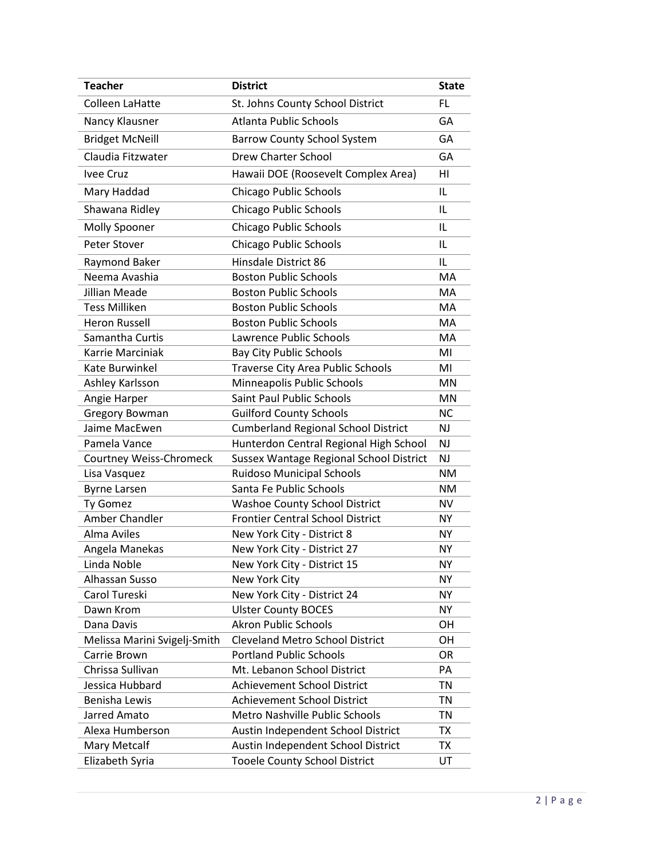| <b>Teacher</b>                                          | <b>District</b>                            | <b>State</b>    |
|---------------------------------------------------------|--------------------------------------------|-----------------|
| <b>Colleen LaHatte</b>                                  | St. Johns County School District           | FL              |
| Nancy Klausner                                          | <b>Atlanta Public Schools</b>              | GА              |
| <b>Bridget McNeill</b>                                  | <b>Barrow County School System</b>         | GA              |
| Claudia Fitzwater                                       | <b>Drew Charter School</b>                 | GA              |
| Ivee Cruz                                               | Hawaii DOE (Roosevelt Complex Area)        | HI              |
| Mary Haddad                                             | <b>Chicago Public Schools</b>              |                 |
| Shawana Ridley                                          | Chicago Public Schools                     | IL<br>IL        |
| Molly Spooner                                           | Chicago Public Schools                     | IL              |
|                                                         |                                            |                 |
| Peter Stover                                            | Chicago Public Schools                     | IL              |
| Raymond Baker                                           | Hinsdale District 86                       | IL              |
| Neema Avashia                                           | <b>Boston Public Schools</b>               | MA              |
| Jillian Meade                                           | <b>Boston Public Schools</b>               | MA              |
| <b>Tess Milliken</b>                                    | <b>Boston Public Schools</b>               | MA              |
| <b>Heron Russell</b>                                    | <b>Boston Public Schools</b>               | MA              |
| Samantha Curtis                                         | Lawrence Public Schools                    | MA              |
| Karrie Marciniak                                        | <b>Bay City Public Schools</b>             |                 |
| Kate Burwinkel                                          | <b>Traverse City Area Public Schools</b>   | MI              |
| Ashley Karlsson                                         | Minneapolis Public Schools                 | MN              |
| Angie Harper                                            | <b>Saint Paul Public Schools</b>           |                 |
| Gregory Bowman                                          | <b>Guilford County Schools</b>             | <b>NC</b>       |
| Jaime MacEwen                                           | <b>Cumberland Regional School District</b> | <b>NJ</b>       |
| Pamela Vance                                            | Hunterdon Central Regional High School     | <b>NJ</b>       |
| Courtney Weiss-Chromeck                                 | Sussex Wantage Regional School District    | NJ              |
| Lisa Vasquez                                            | <b>Ruidoso Municipal Schools</b>           | <b>NM</b>       |
| <b>Byrne Larsen</b>                                     | Santa Fe Public Schools                    | NM              |
| Ty Gomez                                                | <b>Washoe County School District</b>       | <b>NV</b>       |
| Amber Chandler                                          | <b>Frontier Central School District</b>    | <b>NY</b>       |
| Alma Aviles                                             | New York City - District 8                 |                 |
| Angela Manekas                                          | New York City - District 27                |                 |
| Linda Noble                                             | New York City - District 15                |                 |
| Alhassan Susso                                          | New York City                              |                 |
| Carol Tureski                                           | New York City - District 24                | ΝY<br><b>NY</b> |
| Dawn Krom                                               |                                            | <b>NY</b>       |
|                                                         | <b>Ulster County BOCES</b>                 |                 |
| Dana Davis                                              | <b>Akron Public Schools</b>                | OН              |
| Melissa Marini Svigelj-Smith                            | <b>Cleveland Metro School District</b>     | OH              |
| Carrie Brown                                            | <b>Portland Public Schools</b>             | OR              |
| Chrissa Sullivan                                        | Mt. Lebanon School District                | PA              |
| Jessica Hubbard                                         | <b>Achievement School District</b>         | TN              |
| Benisha Lewis                                           | <b>Achievement School District</b>         | TN              |
| Jarred Amato                                            | Metro Nashville Public Schools             | TN              |
| Alexa Humberson                                         | Austin Independent School District         | TX              |
| Mary Metcalf                                            | Austin Independent School District         | TX              |
| Elizabeth Syria<br><b>Tooele County School District</b> |                                            | UT              |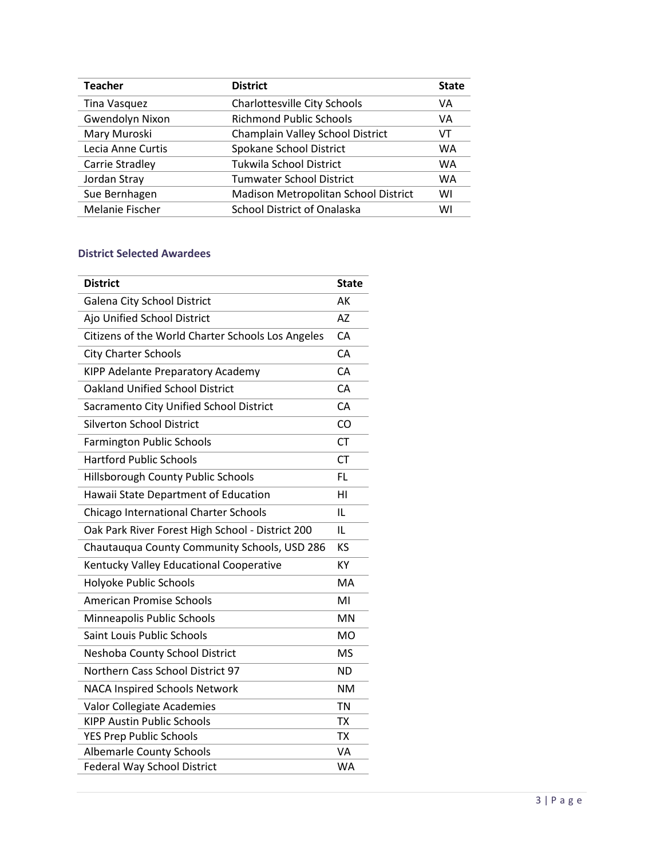| <b>Teacher</b>    | <b>District</b>                      | <b>State</b> |
|-------------------|--------------------------------------|--------------|
| Tina Vasquez      | Charlottesville City Schools         | VA           |
| Gwendolyn Nixon   | <b>Richmond Public Schools</b>       |              |
| Mary Muroski      | Champlain Valley School District     | VT           |
| Lecia Anne Curtis | Spokane School District              | <b>WA</b>    |
| Carrie Stradley   | Tukwila School District              | <b>WA</b>    |
| Jordan Stray      | <b>Tumwater School District</b>      | <b>WA</b>    |
| Sue Bernhagen     | Madison Metropolitan School District | WI           |
| Melanie Fischer   | <b>School District of Onalaska</b>   | WI           |
|                   |                                      |              |

## **District Selected Awardees**

| <b>District</b>                                   | <b>State</b> |
|---------------------------------------------------|--------------|
| Galena City School District                       | AK           |
| Ajo Unified School District                       |              |
| Citizens of the World Charter Schools Los Angeles |              |
| <b>City Charter Schools</b>                       |              |
| KIPP Adelante Preparatory Academy                 |              |
| <b>Oakland Unified School District</b>            |              |
| Sacramento City Unified School District           |              |
| <b>Silverton School District</b>                  |              |
| <b>Farmington Public Schools</b>                  |              |
| <b>Hartford Public Schools</b>                    | <b>CT</b>    |
| Hillsborough County Public Schools                | FL.          |
| Hawaii State Department of Education              |              |
| Chicago International Charter Schools             |              |
| Oak Park River Forest High School - District 200  |              |
| Chautauqua County Community Schools, USD 286      |              |
| Kentucky Valley Educational Cooperative           |              |
| Holyoke Public Schools                            |              |
| <b>American Promise Schools</b>                   |              |
| Minneapolis Public Schools                        |              |
| Saint Louis Public Schools                        |              |
| Neshoba County School District                    |              |
| Northern Cass School District 97                  |              |
| <b>NACA Inspired Schools Network</b>              |              |
| Valor Collegiate Academies                        |              |
| <b>KIPP Austin Public Schools</b>                 | <b>TX</b>    |
| <b>YES Prep Public Schools</b>                    | <b>TX</b>    |
| <b>Albemarle County Schools</b>                   |              |
| <b>Federal Way School District</b>                |              |